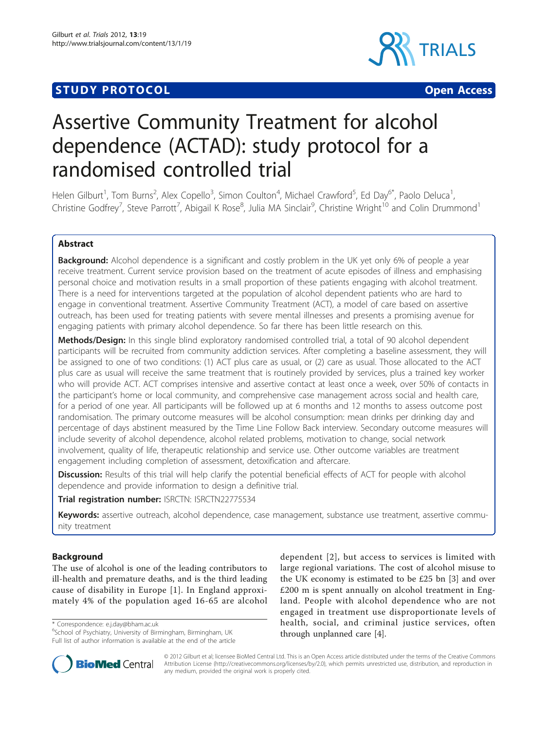## **STUDY PROTOCOL CONSUMING THE CONSUMING OPEN ACCESS**



# Assertive Community Treatment for alcohol dependence (ACTAD): study protocol for a randomised controlled trial

Helen Gilburt<sup>1</sup>, Tom Burns<sup>2</sup>, Alex Copello<sup>3</sup>, Simon Coulton<sup>4</sup>, Michael Crawford<sup>5</sup>, Ed Day<sup>6\*</sup>, Paolo Deluca<sup>1</sup> , Christine Godfrey<sup>7</sup>, Steve Parrott<sup>7</sup>, Abigail K Rose<sup>8</sup>, Julia MA Sinclair<sup>9</sup>, Christine Wright<sup>10</sup> and Colin Drummond<sup>1</sup>

### Abstract

**Background:** Alcohol dependence is a significant and costly problem in the UK yet only 6% of people a year receive treatment. Current service provision based on the treatment of acute episodes of illness and emphasising personal choice and motivation results in a small proportion of these patients engaging with alcohol treatment. There is a need for interventions targeted at the population of alcohol dependent patients who are hard to engage in conventional treatment. Assertive Community Treatment (ACT), a model of care based on assertive outreach, has been used for treating patients with severe mental illnesses and presents a promising avenue for engaging patients with primary alcohol dependence. So far there has been little research on this.

Methods/Design: In this single blind exploratory randomised controlled trial, a total of 90 alcohol dependent participants will be recruited from community addiction services. After completing a baseline assessment, they will be assigned to one of two conditions: (1) ACT plus care as usual, or (2) care as usual. Those allocated to the ACT plus care as usual will receive the same treatment that is routinely provided by services, plus a trained key worker who will provide ACT. ACT comprises intensive and assertive contact at least once a week, over 50% of contacts in the participant's home or local community, and comprehensive case management across social and health care, for a period of one year. All participants will be followed up at 6 months and 12 months to assess outcome post randomisation. The primary outcome measures will be alcohol consumption: mean drinks per drinking day and percentage of days abstinent measured by the Time Line Follow Back interview. Secondary outcome measures will include severity of alcohol dependence, alcohol related problems, motivation to change, social network involvement, quality of life, therapeutic relationship and service use. Other outcome variables are treatment engagement including completion of assessment, detoxification and aftercare.

**Discussion:** Results of this trial will help clarify the potential beneficial effects of ACT for people with alcohol dependence and provide information to design a definitive trial.

### Trial registration number: ISRCTN: [ISRCTN22775534](http://www.controlled-trials.com/ISRCTN22775534)

Keywords: assertive outreach, alcohol dependence, case management, substance use treatment, assertive community treatment

### Background

The use of alcohol is one of the leading contributors to ill-health and premature deaths, and is the third leading cause of disability in Europe [[1](#page-6-0)]. In England approximately 4% of the population aged 16-65 are alcohol

\* Correspondence: [e.j.day@bham.ac.uk](mailto:e.j.day@bham.ac.uk)

<sup>6</sup>School of Psychiatry, University of Birmingham, Birmingham, UK Full list of author information is available at the end of the article





© 2012 Gilburt et al; licensee BioMed Central Ltd. This is an Open Access article distributed under the terms of the Creative Commons Attribution License [\(http://creativecommons.org/licenses/by/2.0](http://creativecommons.org/licenses/by/2.0)), which permits unrestricted use, distribution, and reproduction in any medium, provided the original work is properly cited.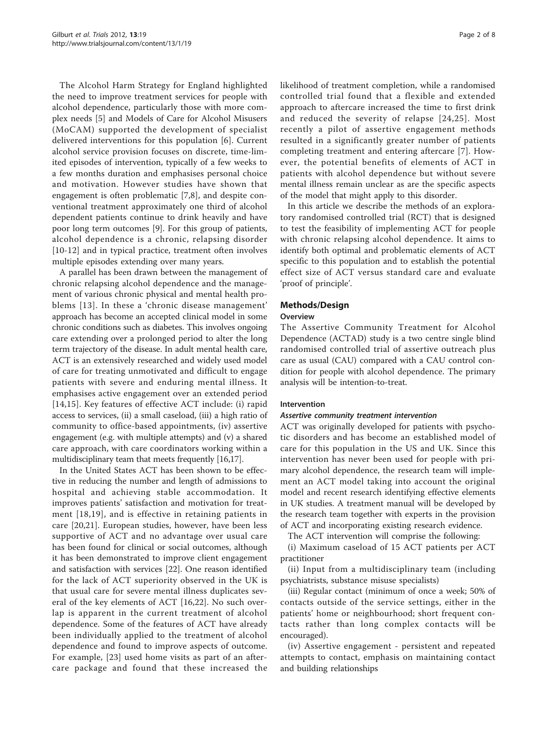The Alcohol Harm Strategy for England highlighted the need to improve treatment services for people with alcohol dependence, particularly those with more complex needs [[5\]](#page-6-0) and Models of Care for Alcohol Misusers (MoCAM) supported the development of specialist delivered interventions for this population [\[6](#page-6-0)]. Current alcohol service provision focuses on discrete, time-limited episodes of intervention, typically of a few weeks to a few months duration and emphasises personal choice and motivation. However studies have shown that engagement is often problematic [[7,8](#page-6-0)], and despite conventional treatment approximately one third of alcohol dependent patients continue to drink heavily and have poor long term outcomes [[9\]](#page-6-0). For this group of patients, alcohol dependence is a chronic, relapsing disorder [[10-12](#page-6-0)] and in typical practice, treatment often involves multiple episodes extending over many years.

A parallel has been drawn between the management of chronic relapsing alcohol dependence and the management of various chronic physical and mental health problems [[13](#page-6-0)]. In these a 'chronic disease management' approach has become an accepted clinical model in some chronic conditions such as diabetes. This involves ongoing care extending over a prolonged period to alter the long term trajectory of the disease. In adult mental health care, ACT is an extensively researched and widely used model of care for treating unmotivated and difficult to engage patients with severe and enduring mental illness. It emphasises active engagement over an extended period [[14](#page-6-0),[15\]](#page-7-0). Key features of effective ACT include: (i) rapid access to services, (ii) a small caseload, (iii) a high ratio of community to office-based appointments, (iv) assertive engagement (e.g. with multiple attempts) and (v) a shared care approach, with care coordinators working within a multidisciplinary team that meets frequently [[16,17\]](#page-7-0).

In the United States ACT has been shown to be effective in reducing the number and length of admissions to hospital and achieving stable accommodation. It improves patients' satisfaction and motivation for treatment [[18,19](#page-7-0)], and is effective in retaining patients in care [[20,21\]](#page-7-0). European studies, however, have been less supportive of ACT and no advantage over usual care has been found for clinical or social outcomes, although it has been demonstrated to improve client engagement and satisfaction with services [[22\]](#page-7-0). One reason identified for the lack of ACT superiority observed in the UK is that usual care for severe mental illness duplicates several of the key elements of ACT [\[16](#page-7-0),[22\]](#page-7-0). No such overlap is apparent in the current treatment of alcohol dependence. Some of the features of ACT have already been individually applied to the treatment of alcohol dependence and found to improve aspects of outcome. For example, [[23\]](#page-7-0) used home visits as part of an aftercare package and found that these increased the likelihood of treatment completion, while a randomised controlled trial found that a flexible and extended approach to aftercare increased the time to first drink and reduced the severity of relapse [[24](#page-7-0),[25\]](#page-7-0). Most recently a pilot of assertive engagement methods resulted in a significantly greater number of patients completing treatment and entering aftercare [[7](#page-6-0)]. However, the potential benefits of elements of ACT in patients with alcohol dependence but without severe mental illness remain unclear as are the specific aspects of the model that might apply to this disorder.

In this article we describe the methods of an exploratory randomised controlled trial (RCT) that is designed to test the feasibility of implementing ACT for people with chronic relapsing alcohol dependence. It aims to identify both optimal and problematic elements of ACT specific to this population and to establish the potential effect size of ACT versus standard care and evaluate 'proof of principle'.

### Methods/Design

### **Overview**

The Assertive Community Treatment for Alcohol Dependence (ACTAD) study is a two centre single blind randomised controlled trial of assertive outreach plus care as usual (CAU) compared with a CAU control condition for people with alcohol dependence. The primary analysis will be intention-to-treat.

### Intervention

ACT was originally developed for patients with psychotic disorders and has become an established model of care for this population in the US and UK. Since this intervention has never been used for people with primary alcohol dependence, the research team will implement an ACT model taking into account the original model and recent research identifying effective elements in UK studies. A treatment manual will be developed by the research team together with experts in the provision of ACT and incorporating existing research evidence.

The ACT intervention will comprise the following:

(i) Maximum caseload of 15 ACT patients per ACT practitioner

(ii) Input from a multidisciplinary team (including psychiatrists, substance misuse specialists)

(iii) Regular contact (minimum of once a week; 50% of contacts outside of the service settings, either in the patients' home or neighbourhood; short frequent contacts rather than long complex contacts will be encouraged).

(iv) Assertive engagement - persistent and repeated attempts to contact, emphasis on maintaining contact and building relationships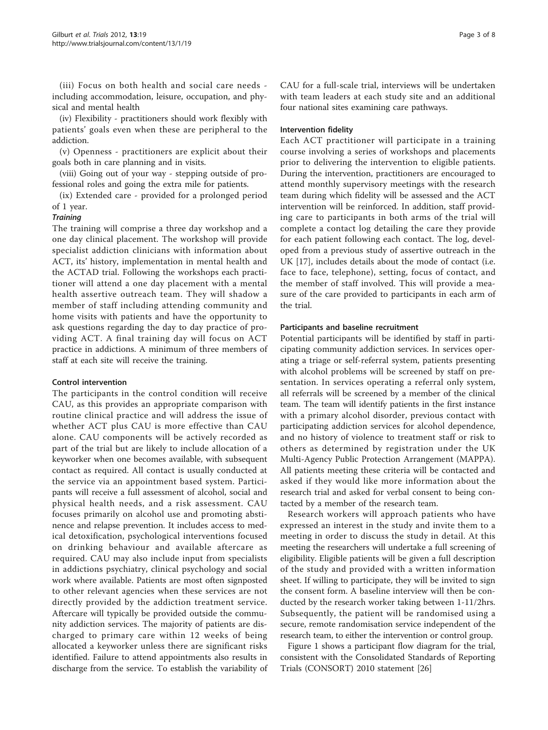(iii) Focus on both health and social care needs including accommodation, leisure, occupation, and physical and mental health

(iv) Flexibility - practitioners should work flexibly with patients' goals even when these are peripheral to the addiction.

(v) Openness - practitioners are explicit about their goals both in care planning and in visits.

(viii) Going out of your way - stepping outside of professional roles and going the extra mile for patients.

(ix) Extended care - provided for a prolonged period of 1 year.

The training will comprise a three day workshop and a one day clinical placement. The workshop will provide specialist addiction clinicians with information about ACT, its' history, implementation in mental health and the ACTAD trial. Following the workshops each practitioner will attend a one day placement with a mental health assertive outreach team. They will shadow a member of staff including attending community and home visits with patients and have the opportunity to ask questions regarding the day to day practice of providing ACT. A final training day will focus on ACT practice in addictions. A minimum of three members of staff at each site will receive the training.

### Control intervention

The participants in the control condition will receive CAU, as this provides an appropriate comparison with routine clinical practice and will address the issue of whether ACT plus CAU is more effective than CAU alone. CAU components will be actively recorded as part of the trial but are likely to include allocation of a keyworker when one becomes available, with subsequent contact as required. All contact is usually conducted at the service via an appointment based system. Participants will receive a full assessment of alcohol, social and physical health needs, and a risk assessment. CAU focuses primarily on alcohol use and promoting abstinence and relapse prevention. It includes access to medical detoxification, psychological interventions focused on drinking behaviour and available aftercare as required. CAU may also include input from specialists in addictions psychiatry, clinical psychology and social work where available. Patients are most often signposted to other relevant agencies when these services are not directly provided by the addiction treatment service. Aftercare will typically be provided outside the community addiction services. The majority of patients are discharged to primary care within 12 weeks of being allocated a keyworker unless there are significant risks identified. Failure to attend appointments also results in discharge from the service. To establish the variability of

CAU for a full-scale trial, interviews will be undertaken with team leaders at each study site and an additional four national sites examining care pathways.

### Intervention fidelity

Each ACT practitioner will participate in a training course involving a series of workshops and placements prior to delivering the intervention to eligible patients. During the intervention, practitioners are encouraged to attend monthly supervisory meetings with the research team during which fidelity will be assessed and the ACT intervention will be reinforced. In addition, staff providing care to participants in both arms of the trial will complete a contact log detailing the care they provide for each patient following each contact. The log, developed from a previous study of assertive outreach in the UK [[17\]](#page-7-0), includes details about the mode of contact (i.e. face to face, telephone), setting, focus of contact, and the member of staff involved. This will provide a measure of the care provided to participants in each arm of the trial.

### Participants and baseline recruitment

Potential participants will be identified by staff in participating community addiction services. In services operating a triage or self-referral system, patients presenting with alcohol problems will be screened by staff on presentation. In services operating a referral only system, all referrals will be screened by a member of the clinical team. The team will identify patients in the first instance with a primary alcohol disorder, previous contact with participating addiction services for alcohol dependence, and no history of violence to treatment staff or risk to others as determined by registration under the UK Multi-Agency Public Protection Arrangement (MAPPA). All patients meeting these criteria will be contacted and asked if they would like more information about the research trial and asked for verbal consent to being contacted by a member of the research team.

Research workers will approach patients who have expressed an interest in the study and invite them to a meeting in order to discuss the study in detail. At this meeting the researchers will undertake a full screening of eligibility. Eligible patients will be given a full description of the study and provided with a written information sheet. If willing to participate, they will be invited to sign the consent form. A baseline interview will then be conducted by the research worker taking between 1-11/2hrs. Subsequently, the patient will be randomised using a secure, remote randomisation service independent of the research team, to either the intervention or control group.

Figure [1](#page-3-0) shows a participant flow diagram for the trial, consistent with the Consolidated Standards of Reporting Trials (CONSORT) 2010 statement [[26\]](#page-7-0)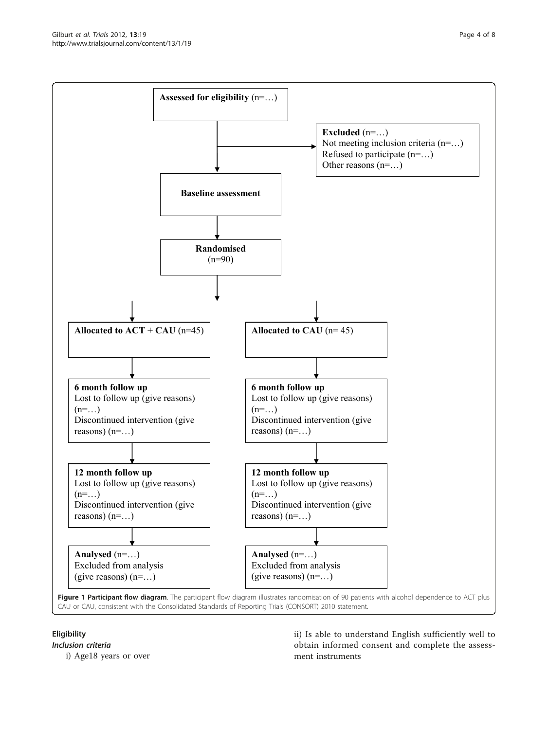<span id="page-3-0"></span>

### Eligibility

i) Age18 years or over

ii) Is able to understand English sufficiently well to obtain informed consent and complete the assessment instruments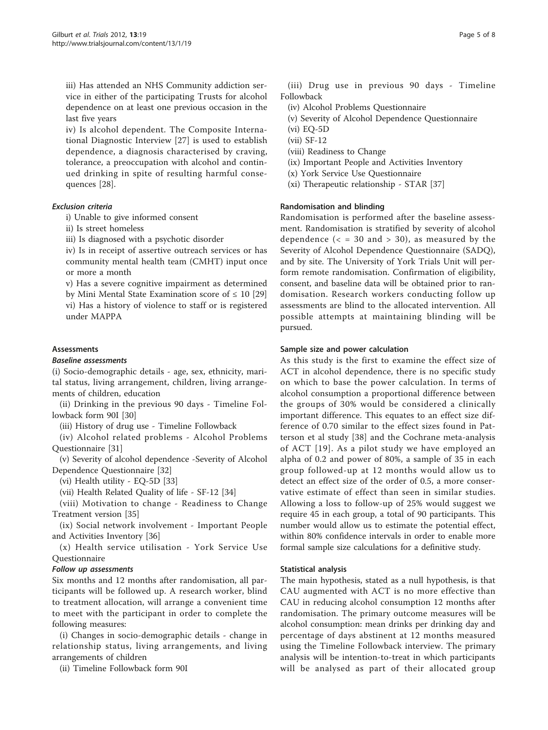iii) Has attended an NHS Community addiction service in either of the participating Trusts for alcohol dependence on at least one previous occasion in the last five years

iv) Is alcohol dependent. The Composite International Diagnostic Interview [[27](#page-7-0)] is used to establish dependence, a diagnosis characterised by craving, tolerance, a preoccupation with alcohol and continued drinking in spite of resulting harmful consequences [[28\]](#page-7-0).

i) Unable to give informed consent

ii) Is street homeless

iii) Is diagnosed with a psychotic disorder

iv) Is in receipt of assertive outreach services or has community mental health team (CMHT) input once or more a month

v) Has a severe cognitive impairment as determined by Mini Mental State Examination score of  $\leq 10$  [[29](#page-7-0)] vi) Has a history of violence to staff or is registered under MAPPA

### **Assessments**

### **Baseline assessments**

Baseline assessments (i) Socio-demographic details - age, sex, ethnicity, marital status, living arrangement, children, living arrangements of children, education

(ii) Drinking in the previous 90 days - Timeline Followback form 90I [\[30](#page-7-0)]

(iii) History of drug use - Timeline Followback

(iv) Alcohol related problems - Alcohol Problems Questionnaire [[31](#page-7-0)]

(v) Severity of alcohol dependence -Severity of Alcohol Dependence Questionnaire [\[32\]](#page-7-0)

(vi) Health utility - EQ-5D [[33](#page-7-0)]

(vii) Health Related Quality of life - SF-12 [\[34\]](#page-7-0)

(viii) Motivation to change - Readiness to Change Treatment version [[35\]](#page-7-0)

(ix) Social network involvement - Important People and Activities Inventory [[36](#page-7-0)]

(x) Health service utilisation - York Service Use Questionnaire

Six months and 12 months after randomisation, all participants will be followed up. A research worker, blind to treatment allocation, will arrange a convenient time to meet with the participant in order to complete the following measures:

(i) Changes in socio-demographic details - change in relationship status, living arrangements, and living arrangements of children

(ii) Timeline Followback form 90I

(iii) Drug use in previous 90 days - Timeline Followback

- (iv) Alcohol Problems Questionnaire
- (v) Severity of Alcohol Dependence Questionnaire
- (vi) EQ-5D
- (vii) SF-12
- (viii) Readiness to Change
- (ix) Important People and Activities Inventory
- (x) York Service Use Questionnaire
- (xi) Therapeutic relationship STAR [[37](#page-7-0)]

### Randomisation and blinding

Randomisation is performed after the baseline assessment. Randomisation is stratified by severity of alcohol dependence  $( $50 \text{ and } > 30$ , as measured by the$ Severity of Alcohol Dependence Questionnaire (SADQ), and by site. The University of York Trials Unit will perform remote randomisation. Confirmation of eligibility, consent, and baseline data will be obtained prior to randomisation. Research workers conducting follow up assessments are blind to the allocated intervention. All possible attempts at maintaining blinding will be pursued.

### Sample size and power calculation

As this study is the first to examine the effect size of ACT in alcohol dependence, there is no specific study on which to base the power calculation. In terms of alcohol consumption a proportional difference between the groups of 30% would be considered a clinically important difference. This equates to an effect size difference of 0.70 similar to the effect sizes found in Patterson et al study [[38\]](#page-7-0) and the Cochrane meta-analysis of ACT [[19](#page-7-0)]. As a pilot study we have employed an alpha of 0.2 and power of 80%, a sample of 35 in each group followed-up at 12 months would allow us to detect an effect size of the order of 0.5, a more conservative estimate of effect than seen in similar studies. Allowing a loss to follow-up of 25% would suggest we require 45 in each group, a total of 90 participants. This number would allow us to estimate the potential effect, within 80% confidence intervals in order to enable more formal sample size calculations for a definitive study.

### Statistical analysis

The main hypothesis, stated as a null hypothesis, is that CAU augmented with ACT is no more effective than CAU in reducing alcohol consumption 12 months after randomisation. The primary outcome measures will be alcohol consumption: mean drinks per drinking day and percentage of days abstinent at 12 months measured using the Timeline Followback interview. The primary analysis will be intention-to-treat in which participants will be analysed as part of their allocated group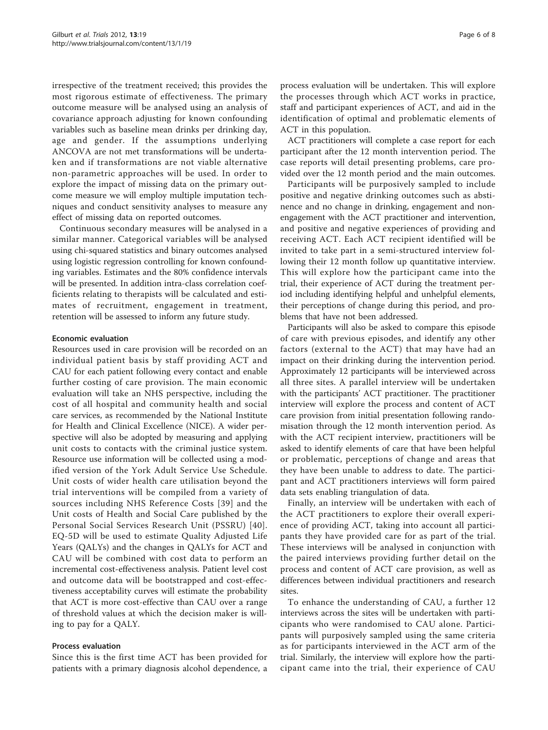irrespective of the treatment received; this provides the most rigorous estimate of effectiveness. The primary outcome measure will be analysed using an analysis of covariance approach adjusting for known confounding variables such as baseline mean drinks per drinking day, age and gender. If the assumptions underlying ANCOVA are not met transformations will be undertaken and if transformations are not viable alternative non-parametric approaches will be used. In order to explore the impact of missing data on the primary outcome measure we will employ multiple imputation techniques and conduct sensitivity analyses to measure any effect of missing data on reported outcomes.

Continuous secondary measures will be analysed in a similar manner. Categorical variables will be analysed using chi-squared statistics and binary outcomes analysed using logistic regression controlling for known confounding variables. Estimates and the 80% confidence intervals will be presented. In addition intra-class correlation coefficients relating to therapists will be calculated and estimates of recruitment, engagement in treatment, retention will be assessed to inform any future study.

### Economic evaluation

Resources used in care provision will be recorded on an individual patient basis by staff providing ACT and CAU for each patient following every contact and enable further costing of care provision. The main economic evaluation will take an NHS perspective, including the cost of all hospital and community health and social care services, as recommended by the National Institute for Health and Clinical Excellence (NICE). A wider perspective will also be adopted by measuring and applying unit costs to contacts with the criminal justice system. Resource use information will be collected using a modified version of the York Adult Service Use Schedule. Unit costs of wider health care utilisation beyond the trial interventions will be compiled from a variety of sources including NHS Reference Costs [[39](#page-7-0)] and the Unit costs of Health and Social Care published by the Personal Social Services Research Unit (PSSRU) [[40\]](#page-7-0). EQ-5D will be used to estimate Quality Adjusted Life Years (QALYs) and the changes in QALYs for ACT and CAU will be combined with cost data to perform an incremental cost-effectiveness analysis. Patient level cost and outcome data will be bootstrapped and cost-effectiveness acceptability curves will estimate the probability that ACT is more cost-effective than CAU over a range of threshold values at which the decision maker is willing to pay for a QALY.

### Process evaluation

Since this is the first time ACT has been provided for patients with a primary diagnosis alcohol dependence, a

process evaluation will be undertaken. This will explore the processes through which ACT works in practice, staff and participant experiences of ACT, and aid in the identification of optimal and problematic elements of ACT in this population.

ACT practitioners will complete a case report for each participant after the 12 month intervention period. The case reports will detail presenting problems, care provided over the 12 month period and the main outcomes.

Participants will be purposively sampled to include positive and negative drinking outcomes such as abstinence and no change in drinking, engagement and nonengagement with the ACT practitioner and intervention, and positive and negative experiences of providing and receiving ACT. Each ACT recipient identified will be invited to take part in a semi-structured interview following their 12 month follow up quantitative interview. This will explore how the participant came into the trial, their experience of ACT during the treatment period including identifying helpful and unhelpful elements, their perceptions of change during this period, and problems that have not been addressed.

Participants will also be asked to compare this episode of care with previous episodes, and identify any other factors (external to the ACT) that may have had an impact on their drinking during the intervention period. Approximately 12 participants will be interviewed across all three sites. A parallel interview will be undertaken with the participants' ACT practitioner. The practitioner interview will explore the process and content of ACT care provision from initial presentation following randomisation through the 12 month intervention period. As with the ACT recipient interview, practitioners will be asked to identify elements of care that have been helpful or problematic, perceptions of change and areas that they have been unable to address to date. The participant and ACT practitioners interviews will form paired data sets enabling triangulation of data.

Finally, an interview will be undertaken with each of the ACT practitioners to explore their overall experience of providing ACT, taking into account all participants they have provided care for as part of the trial. These interviews will be analysed in conjunction with the paired interviews providing further detail on the process and content of ACT care provision, as well as differences between individual practitioners and research sites.

To enhance the understanding of CAU, a further 12 interviews across the sites will be undertaken with participants who were randomised to CAU alone. Participants will purposively sampled using the same criteria as for participants interviewed in the ACT arm of the trial. Similarly, the interview will explore how the participant came into the trial, their experience of CAU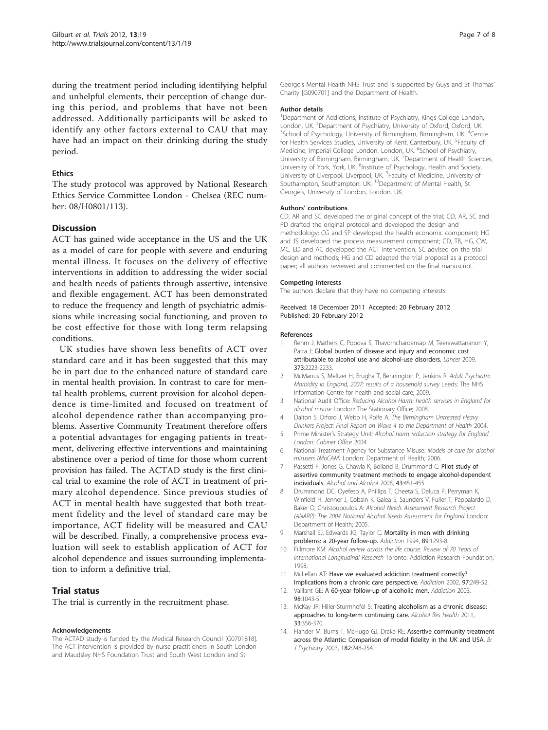<span id="page-6-0"></span>during the treatment period including identifying helpful and unhelpful elements, their perception of change during this period, and problems that have not been addressed. Additionally participants will be asked to identify any other factors external to CAU that may have had an impact on their drinking during the study period.

### Ethics

The study protocol was approved by National Research Ethics Service Committee London - Chelsea (REC number: 08/H0801/113).

### **Discussion**

ACT has gained wide acceptance in the US and the UK as a model of care for people with severe and enduring mental illness. It focuses on the delivery of effective interventions in addition to addressing the wider social and health needs of patients through assertive, intensive and flexible engagement. ACT has been demonstrated to reduce the frequency and length of psychiatric admissions while increasing social functioning, and proven to be cost effective for those with long term relapsing conditions.

UK studies have shown less benefits of ACT over standard care and it has been suggested that this may be in part due to the enhanced nature of standard care in mental health provision. In contrast to care for mental health problems, current provision for alcohol dependence is time-limited and focused on treatment of alcohol dependence rather than accompanying problems. Assertive Community Treatment therefore offers a potential advantages for engaging patients in treatment, delivering effective interventions and maintaining abstinence over a period of time for those whom current provision has failed. The ACTAD study is the first clinical trial to examine the role of ACT in treatment of primary alcohol dependence. Since previous studies of ACT in mental health have suggested that both treatment fidelity and the level of standard care may be importance, ACT fidelity will be measured and CAU will be described. Finally, a comprehensive process evaluation will seek to establish application of ACT for alcohol dependence and issues surrounding implementation to inform a definitive trial.

### Trial status

The trial is currently in the recruitment phase.

### Acknowledgements

The ACTAD study is funded by the Medical Research Council [G0701818]. The ACT intervention is provided by nurse practitioners in South London and Maudsley NHS Foundation Trust and South West London and St

George's Mental Health NHS Trust and is supported by Guys and St Thomas' Charity [G090701] and the Department of Health.

### Author details

<sup>1</sup>Department of Addictions, Institute of Psychiatry, Kings College London, London, UK. <sup>2</sup>Department of Psychiatry, University of Oxford, Oxford, UK.<br><sup>3</sup>School of Psychology, University of Birmingham, Birmingham, UK. <sup>4</sup>Cen: School of Psychology, University of Birmingham, Birmingham, UK. <sup>4</sup>Centre for Health Services Studies, University of Kent, Canterbury, UK. <sup>5</sup>Faculty of Medicine, Imperial College London, London, UK. <sup>6</sup>School of Psychiatry University of Birmingham, Birmingham, UK. <sup>7</sup>Department of Health Sciences, University of York, York, UK. <sup>8</sup>Institute of Psychology, Health and Society University of Liverpool, Liverpool, UK. <sup>9</sup> Faculty of Medicine, University of Southampton, Southampton, UK. <sup>10</sup>Department of Mental Health, St George's, University of London, London, UK.

### Authors' contributions

CD, AR and SC developed the original concept of the trial; CD, AR, SC and PD drafted the original protocol and developed the design and methodology; CG and SP developed the health economic component; HG and JS developed the process measurement component; CD, TB, HG, CW, MC, ED and AC developed the ACT intervention; SC advised on the trial design and methods; HG and CD adapted the trial proposal as a protocol paper; all authors reviewed and commented on the final manuscript.

### Competing interests

The authors declare that they have no competing interests.

Received: 18 December 2011 Accepted: 20 February 2012 Published: 20 February 2012

### References

- 1. Rehm J, Mathers C, Popova S, Thavorncharoensap M, Teerawattananon Y, Patra J: [Global burden of disease and injury and economic cost](http://www.ncbi.nlm.nih.gov/pubmed/19560604?dopt=Abstract) [attributable to alcohol use and alcohol-use disorders.](http://www.ncbi.nlm.nih.gov/pubmed/19560604?dopt=Abstract) Lancet 2009, 373:2223-2233.
- 2. McManus S, Meltzer H, Brugha T, Bennington P, Jenkins R: Adult Psychiatric Morbidity in England, 2007: results of a household survey Leeds: The NHS Information Centre for health and social care; 2009.
- 3. National Audit Office: Reducing Alcohol Harm: health services in England for alcohol misuse London: The Stationary Office; 2008.
- 4. Dalton S, Orford J, Webb H, Rolfe A: The Birmingham Untreated Heavy Drinkers Project: Final Report on Wave 4 to the Department of Health 2004.
- 5. Prime Minister's Strategy Unit: Alcohol harm reduction strategy for England. London: Cabinet Office 2004.
- 6. National Treatment Agency for Substance Misuse: Models of care for alcohol misusers (MoCAM) London: Department of Health; 2006.
- Passetti F, Jones G, Chawla K, Bolland B, Drummond C: Pilot study of assertive community treatment methods to engage alcohol-dependent individuals. Alcohol and Alcohol 2008, 43:451-455.
- 8. Drummond DC, Oyefeso A, Phillips T, Cheeta S, Deluca P, Perryman K, Winfield H, Jenner J, Cobain K, Galea S, Saunders V, Fuller T, Pappalardo D, Baker O, Christoupoulos A: Alcohol Needs Assessment Research Project (ANARP): The 2004 National Alcohol Needs Assessment for England London: Department of Health; 2005.
- 9. Marshall EJ, Edwards JG, Taylor C: [Mortality in men with drinking](http://www.ncbi.nlm.nih.gov/pubmed/7804090?dopt=Abstract) [problems: a 20-year follow-up.](http://www.ncbi.nlm.nih.gov/pubmed/7804090?dopt=Abstract) Addiction 1994, 89:1293-8.
- 10. Fillmore KM: Alcohol review across the life course. Review of 70 Years of International Longitudinal Research Toronto: Addiction Research Foundation; 1998.
- 11. McLellan AT: [Have we evaluated addiction treatment correctly?](http://www.ncbi.nlm.nih.gov/pubmed/11964098?dopt=Abstract) [Implications from a chronic care perspective.](http://www.ncbi.nlm.nih.gov/pubmed/11964098?dopt=Abstract) Addiction 2002, 97:249-52.
- 12. Vaillant GE: [A 60-year follow-up of alcoholic men.](http://www.ncbi.nlm.nih.gov/pubmed/12873238?dopt=Abstract) Addiction 2003, 98:1043-51.
- 13. McKay JR, Hiller-Sturmhofel S: Treating alcoholism as a chronic disease: approaches to long-term continuing care. Alcohol Res Health 2011, 33:356-370.
- 14. Fiander M, Burns T, McHugo GJ, Drake RE: [Assertive community treatment](http://www.ncbi.nlm.nih.gov/pubmed/12611789?dopt=Abstract) [across the Atlantic: Comparison of model fidelity in the UK and USA.](http://www.ncbi.nlm.nih.gov/pubmed/12611789?dopt=Abstract) Br J Psychiatry 2003, 182:248-254.